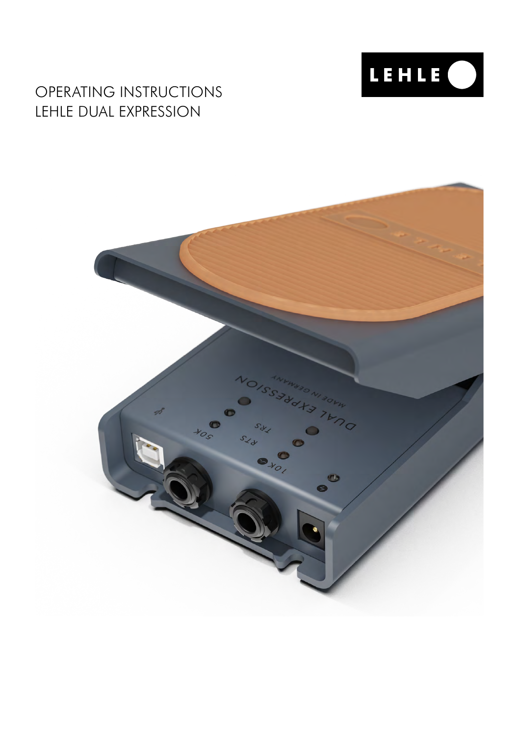

# OPERATING INSTRUCTIONS LEHLE DUAL EXPRESSION

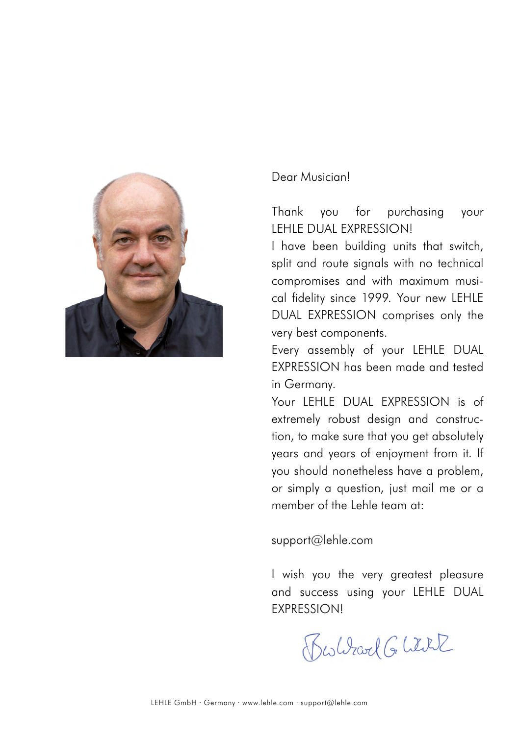

#### Dear Musician!

Thank you for purchasing your LEHLE DUAL EXPRESSION!

I have been building units that switch, split and route signals with no technical compromises and with maximum musical fidelity since 1999. Your new LEHLE DUAL EXPRESSION comprises only the very best components.

Every assembly of your LEHLE DUAL EXPRESSION has been made and tested in Germany.

Your LEHLE DUAL EXPRESSION is of extremely robust design and construction, to make sure that you get absolutely years and years of enjoyment from it. If you should nonetheless have a problem, or simply a question, just mail me or a member of the Lehle team at:

support@lehle.com

I wish you the very greatest pleasure and success using your LEHLE DUAL **EXPRESSIONI** 

Bestirad Glitil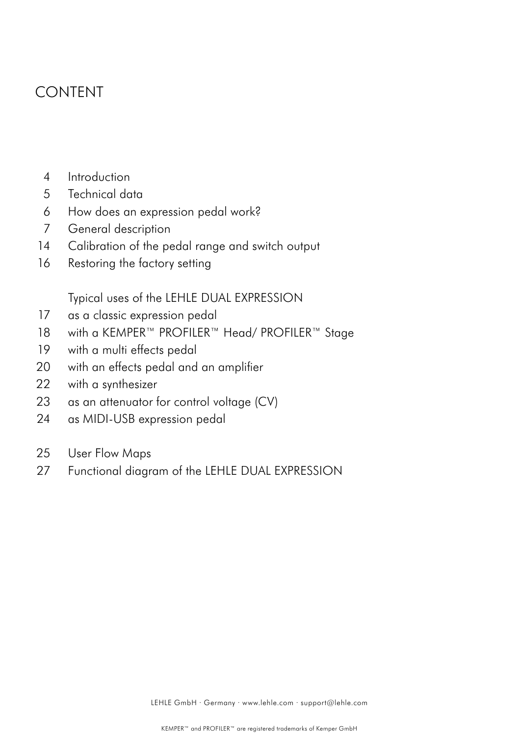## CONTENT

- Introduction 4
- Technical data 5
- How does an expression pedal work? 6
- General description 7
- Calibration of the pedal range and switch output 14
- Restoring the factory setting 16

Typical uses of the LEHLE DUAL EXPRESSION

- as a classic expression pedal 17
- with a KEMPER™ PROFILER™ Head/ PROFILER™ Stage 18
- with a multi effects pedal 19
- with an effects pedal and an amplifier 20
- with a synthesizer 22
- as an attenuator for control voltage (CV) 23
- as MIDI-USB expression pedal 24
- User Flow Maps 25
- Functional diagram of the LEHLE DUAL EXPRESSION 27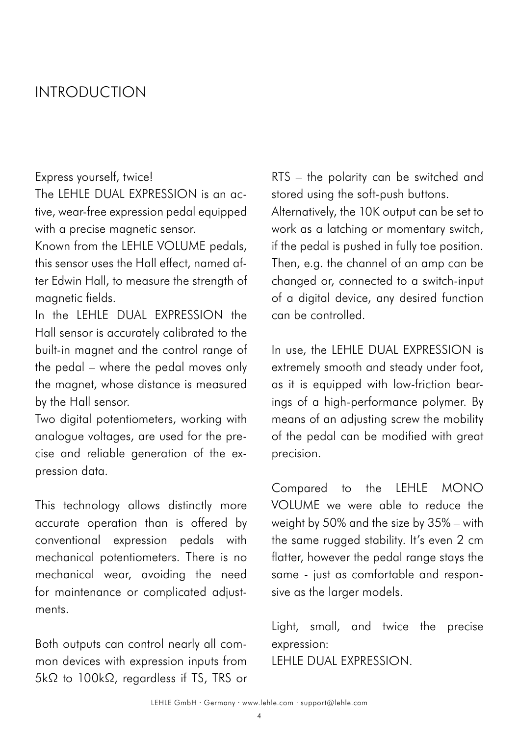## INTRODUCTION

#### Express yourself, twice!

The LEHLE DUAL EXPRESSION is an active, wear-free expression pedal equipped with a precise magnetic sensor.

Known from the LEHLE VOLUME pedals, this sensor uses the Hall effect, named after Edwin Hall, to measure the strength of magnetic fields.

In the LEHLE DUAL EXPRESSION the Hall sensor is accurately calibrated to the built-in magnet and the control range of the pedal – where the pedal moves only the magnet, whose distance is measured by the Hall sensor.

Two digital potentiometers, working with analogue voltages, are used for the precise and reliable generation of the expression data.

This technology allows distinctly more accurate operation than is offered by conventional expression pedals with mechanical potentiometers. There is no mechanical wear, avoiding the need for maintenance or complicated adjustments.

Both outputs can control nearly all common devices with expression inputs from 5kΩ to 100kΩ, regardless if TS, TRS or RTS – the polarity can be switched and stored using the soft-push buttons.

Alternatively, the 10K output can be set to work as a latching or momentary switch, if the pedal is pushed in fully toe position. Then, e.g. the channel of an amp can be changed or, connected to a switch-input of a digital device, any desired function can be controlled.

In use, the LEHLE DUAL EXPRESSION is extremely smooth and steady under foot, as it is equipped with low-friction bearings of a high-performance polymer. By means of an adjusting screw the mobility of the pedal can be modified with great precision.

Compared to the LEHLE MONO VOLUME we were able to reduce the weight by 50% and the size by 35% – with the same rugged stability. It's even 2 cm flatter, however the pedal range stays the same - just as comfortable and responsive as the larger models.

Light, small, and twice the precise expression: LEHLE DUAL EXPRESSION.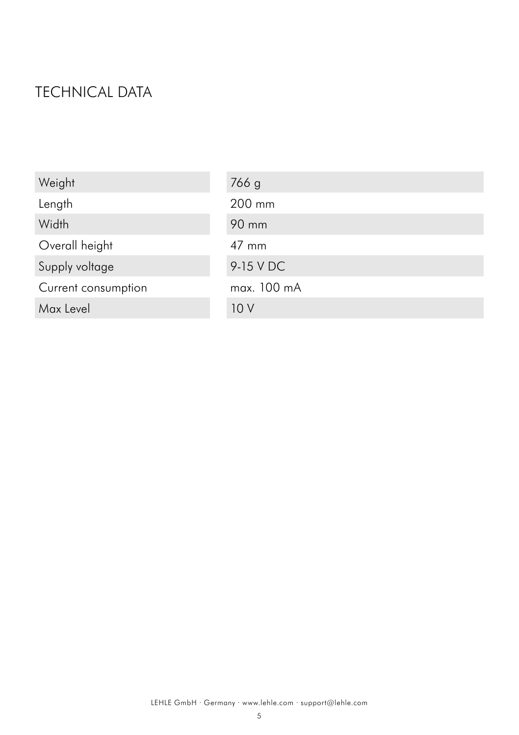# TECHNICAL DATA

| Weight              | 766 g           |
|---------------------|-----------------|
| Length              | 200 mm          |
| Width               | 90 mm           |
| Overall height      | $47 \text{ mm}$ |
| Supply voltage      | 9-15 V DC       |
| Current consumption | max. 100 mA     |
| Max Level           | 10V             |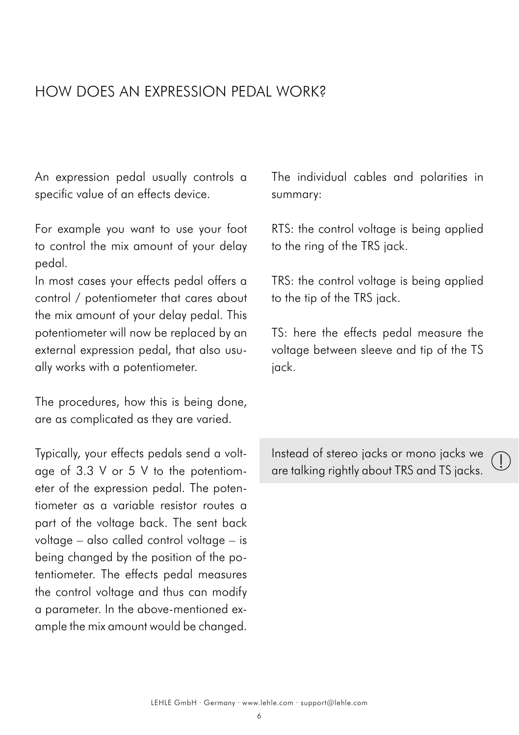## HOW DOES AN EXPRESSION PEDAL WORK?

An expression pedal usually controls a specific value of an effects device.

For example you want to use your foot to control the mix amount of your delay pedal.

In most cases your effects pedal offers a control / potentiometer that cares about the mix amount of your delay pedal. This potentiometer will now be replaced by an external expression pedal, that also usually works with a potentiometer.

The procedures, how this is being done, are as complicated as they are varied.

Typically, your effects pedals send a voltage of 3.3 V or 5 V to the potentiometer of the expression pedal. The potentiometer as a variable resistor routes a part of the voltage back. The sent back voltage – also called control voltage – is being changed by the position of the potentiometer. The effects pedal measures the control voltage and thus can modify a parameter. In the above-mentioned example the mix amount would be changed.

The individual cables and polarities in summary:

RTS: the control voltage is being applied to the ring of the TRS jack.

TRS: the control voltage is being applied to the tip of the TRS jack.

TS: here the effects pedal measure the voltage between sleeve and tip of the TS jack.

Instead of stereo jacks or mono jacks we are talking rightly about TRS and TS jacks.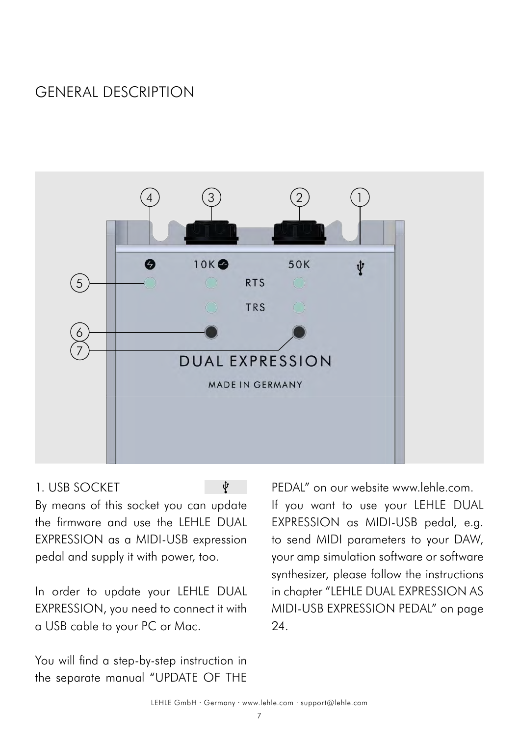# GENERAL DESCRIPTION



### 1. USB SOCKET

ψ

By means of this socket you can update the firmware and use the LEHLE DUAL EXPRESSION as a MIDI-USB expression pedal and supply it with power, too.

In order to update your LEHLE DUAL EXPRESSION, you need to connect it with a USB cable to your PC or Mac.

You will find a step-by-step instruction in the separate manual "UPDATE OF THE PEDAL" on our website www.leble.com. If you want to use your LEHLE DUAL EXPRESSION as MIDI-USB pedal, e.g. to send MIDI parameters to your DAW, your amp simulation software or software synthesizer, please follow the instructions in chapter ["LEHLE DUAL EXPRESSION AS](#page-23-0) [MIDI-USB EXPRESSION PEDAL](#page-23-0)" on page 24.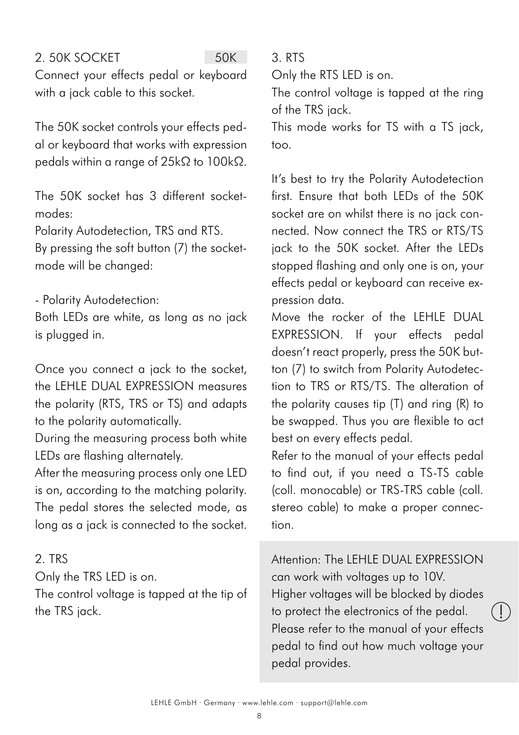### <span id="page-7-0"></span>2. 50K SOCKET

50K

Connect your effects pedal or keyboard with a jack cable to this socket.

The 50K socket controls your effects pedal or keyboard that works with expression pedals within a range of 25kΩ to 100kΩ.

The 50K socket has 3 different socketmodes:

Polarity Autodetection, TRS and RTS.

By pressing the soft button (7) the socketmode will be changed:

- Polarity Autodetection:

Both LEDs are white, as long as no jack is plugged in.

Once you connect a jack to the socket, the LEHLE DUAL EXPRESSION measures the polarity (RTS, TRS or TS) and adapts to the polarity automatically.

During the measuring process both white LEDs are flashing alternately.

After the measuring process only one LED is on, according to the matching polarity. The pedal stores the selected mode, as long as a jack is connected to the socket.

### 2. TRS

Only the TRS LED is on.

The control voltage is tapped at the tip of the TRS jack.

3. RTS

Only the RTS LED is on.

The control voltage is tapped at the ring of the TRS jack.

This mode works for TS with a TS jack, too.

It's best to try the Polarity Autodetection first. Ensure that both LEDs of the 50K socket are on whilst there is no jack connected. Now connect the TRS or RTS/TS jack to the 50K socket. After the LEDs stopped flashing and only one is on, your effects pedal or keyboard can receive expression data.

Move the rocker of the LEHLE DUAL EXPRESSION. If your effects pedal doesn't react properly, press the 50K button (7) to switch from Polarity Autodetection to TRS or RTS/TS. The alteration of the polarity causes tip (T) and ring (R) to be swapped. Thus you are flexible to act best on every effects pedal.

Refer to the manual of your effects pedal to find out, if you need a TS-TS cable (coll. monocable) or TRS-TRS cable (coll. stereo cable) to make a proper connection.

Attention: The LEHLE DUAL EXPRESSION can work with voltages up to 10V. Higher voltages will be blocked by diodes to protect the electronics of the pedal. Please refer to the manual of your effects pedal to find out how much voltage your pedal provides.

 $\ket{\ }$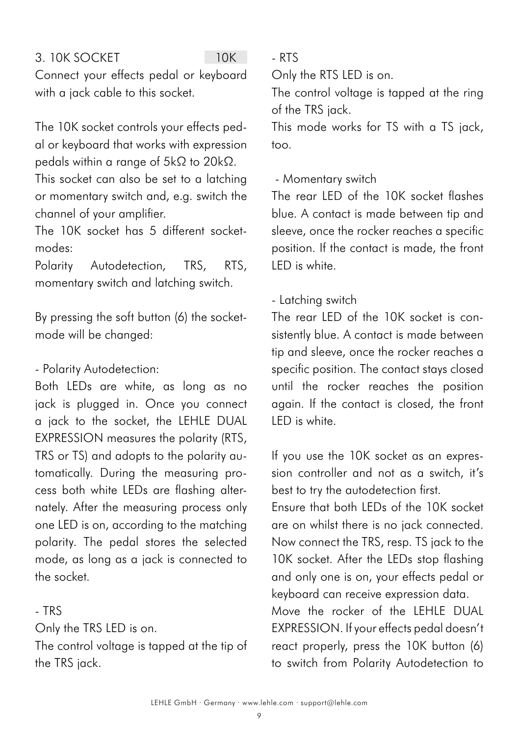### <span id="page-8-0"></span>3. 10K SOCKET

 $10K$ 

Connect your effects pedal or keyboard with a jack cable to this socket.

The 10K socket controls your effects pedal or keyboard that works with expression pedals within a range of 5kΩ to 20kΩ.

This socket can also be set to a latching or momentary switch and, e.g. switch the channel of your amplifier.

The 10K socket has 5 different socketmodes:

Polarity Autodetection, TRS, RTS, momentary switch and latching switch.

By pressing the soft button (6) the socketmode will be changed:

### - Polarity Autodetection:

Both LEDs are white, as long as no jack is plugged in. Once you connect a jack to the socket, the LEHLE DUAL EXPRESSION measures the polarity (RTS, TRS or TS) and adopts to the polarity automatically. During the measuring process both white LEDs are flashing alternately. After the measuring process only one LED is on, according to the matching polarity. The pedal stores the selected mode, as long as a jack is connected to the socket.

#### - TRS

Only the TRS LED is on.

The control voltage is tapped at the tip of the TRS jack.

- RTS

Only the RTS LED is on.

The control voltage is tapped at the ring of the TRS jack.

This mode works for TS with a TS jack, too.

### - Momentary switch

The rear LED of the 10K socket flashes blue. A contact is made between tip and sleeve, once the rocker reaches a specific position. If the contact is made, the front LED is white.

### - Latching switch

The rear LED of the 10K socket is consistently blue. A contact is made between tip and sleeve, once the rocker reaches a specific position. The contact stays closed until the rocker reaches the position again. If the contact is closed, the front LED is white.

If you use the 10K socket as an expression controller and not as a switch, it's best to try the autodetection first.

Ensure that both LEDs of the 10K socket are on whilst there is no jack connected. Now connect the TRS, resp. TS jack to the 10K socket. After the LEDs stop flashing and only one is on, your effects pedal or keyboard can receive expression data. Move the rocker of the LEHLE DUAL EXPRESSION. If your effects pedal doesn't react properly, press the 10K button (6) to switch from Polarity Autodetection to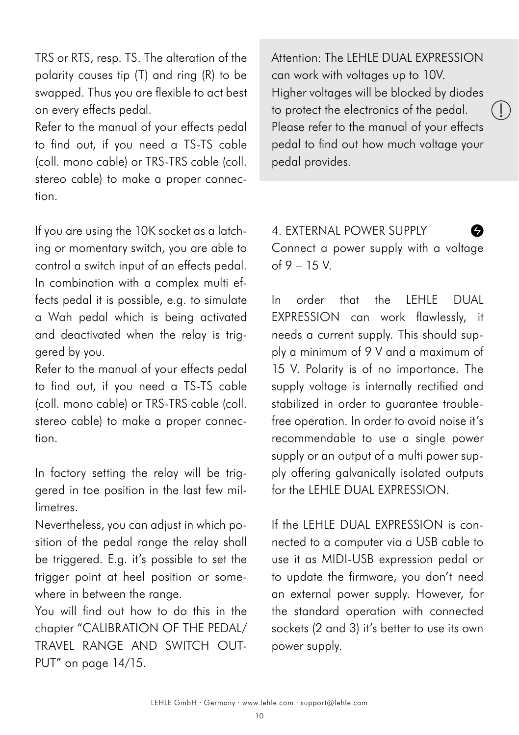TRS or RTS, resp. TS. The alteration of the polarity causes tip (T) and ring (R) to be swapped. Thus you are flexible to act best on every effects pedal.

Refer to the manual of your effects pedal to find out, if you need a TS-TS cable (coll. mono cable) or TRS-TRS cable (coll. stereo cable) to make a proper connection.

If you are using the 10K socket as a latching or momentary switch, you are able to control a switch input of an effects pedal. In combination with a complex multi effects pedal it is possible, e.g. to simulate a Wah pedal which is being activated and deactivated when the relay is triggered by you.

Refer to the manual of your effects pedal to find out, if you need a TS-TS cable (coll. mono cable) or TRS-TRS cable (coll. stereo cable) to make a proper connection.

In factory setting the relay will be triggered in toe position in the last few millimetres.

Nevertheless, you can adjust in which position of the pedal range the relay shall be triggered. E.g. it's possible to set the trigger point at heel position or somewhere in between the range.

You will find out how to do this in the chapter "[CALIBRATION OF THE PEDAL/](#page-13-0) [TRAVEL RANGE AND SWITCH OUT-](#page-13-0)[PUT](#page-13-0)" on page 14/15.

Attention: The LEHLE DUAL EXPRESSION can work with voltages up to 10V. Higher voltages will be blocked by diodes to protect the electronics of the pedal. Please refer to the manual of your effects pedal to find out how much voltage your pedal provides.

!

4. EXTERNAL POWER SUPPLY Connect a power supply with a voltage of 9 – 15 V.

In order that the LEHLE DUAL EXPRESSION can work flawlessly, it needs a current supply. This should supply a minimum of 9 V and a maximum of 15 V. Polarity is of no importance. The supply voltage is internally rectified and stabilized in order to auarantee troublefree operation. In order to avoid noise it's recommendable to use a single power supply or an output of a multi power supply offering galvanically isolated outputs for the LEHLE DUAL EXPRESSION.

If the LEHLE DUAL EXPRESSION is connected to a computer via a USB cable to use it as MIDI-USB expression pedal or to update the firmware, you don't need an external power supply. However, for the standard operation with connected sockets (2 and 3) it's better to use its own power supply.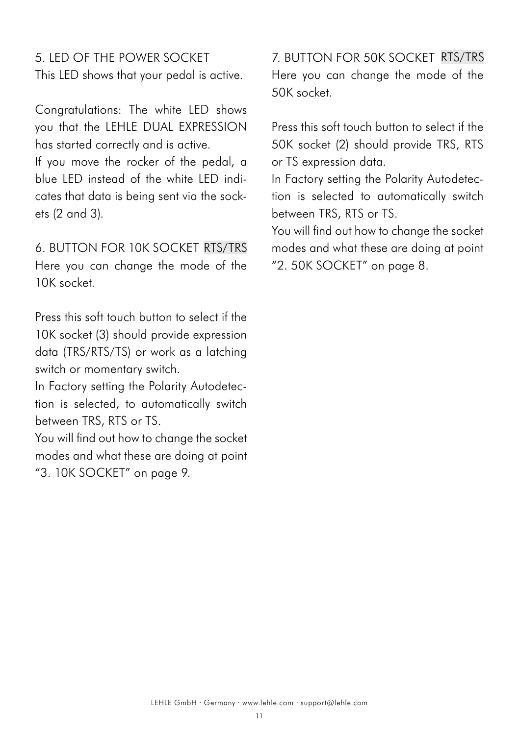5. LED OF THE POWER SOCKET This LED shows that your pedal is active.

Congratulations: The white LED shows you that the LEHLE DUAL EXPRESSION has started correctly and is active.

If you move the rocker of the pedal, a blue LED instead of the white LED indicates that data is being sent via the sockets (2 and 3).

6. BUTTON FOR 10K SOCKET RTS/TRSHere you can change the mode of the 10K socket.

Press this soft touch button to select if the 10K socket (3) should provide expression data (TRS/RTS/TS) or work as a latching switch or momentary switch.

In Factory setting the Polarity Autodetection is selected, to automatically switch between TRS, RTS or TS.

You will find out how to change the socket modes and what these are doing at point "[3. 10K SOCKET](#page-8-0)" on page 9.

7. BUTTON FOR 50K SOCKET RTS/TRS Here you can change the mode of the 50K socket.

Press this soft touch button to select if the 50K socket (2) should provide TRS, RTS or TS expression data.

In Factory setting the Polarity Autodetection is selected to automatically switch between TRS, RTS or TS.

You will find out how to change the socket modes and what these are doing at point "[2. 50K SOCKET](#page-7-0)" on page 8.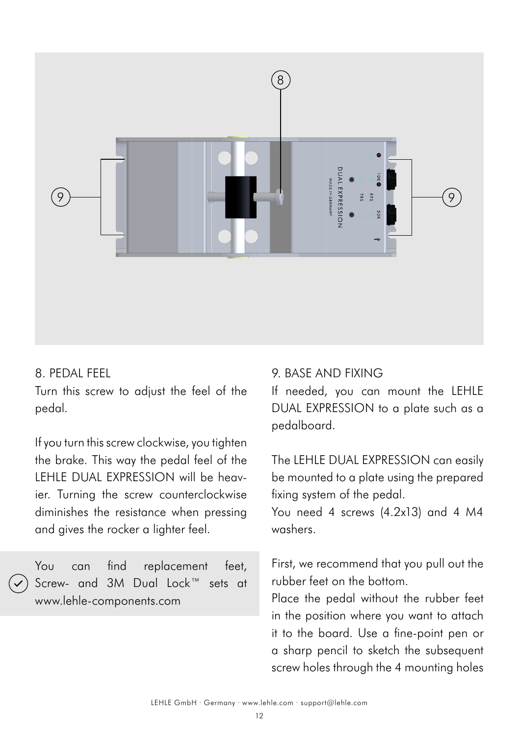

#### 8. PEDAL FEEL

Turn this screw to adjust the feel of the pedal.

If you turn this screw clockwise, you tighten the brake. This way the pedal feel of the LEHLE DUAL EXPRESSION will be heavier. Turning the screw counterclockwise diminishes the resistance when pressing and gives the rocker a lighter feel.

You can find replacement feet, Screw- and 3M Dual Lock™ sets at www.lehle-components.com

### 9. BASE AND FIXING

If needed, you can mount the LEHLE DUAL EXPRESSION to a plate such as a pedalboard.

The LEHLE DUAL EXPRESSION can easily be mounted to a plate using the prepared fixing system of the pedal.

You need 4 screws (4.2x13) and 4 M4 washers.

First, we recommend that you pull out the rubber feet on the bottom.

Place the pedal without the rubber feet in the position where you want to attach it to the board. Use a fine-point pen or a sharp pencil to sketch the subsequent screw holes through the 4 mounting holes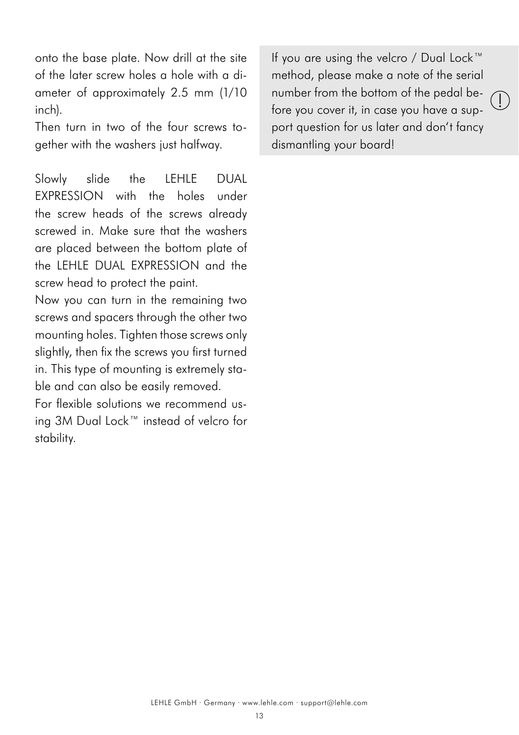onto the base plate. Now drill at the site of the later screw holes a hole with a diameter of approximately 2.5 mm (1/10 inch).

Then turn in two of the four screws together with the washers just halfway.

Slowly slide the LEHLE DUAL EXPRESSION with the holes under the screw heads of the screws already screwed in. Make sure that the washers are placed between the bottom plate of the LEHLE DUAL EXPRESSION and the screw head to protect the paint.

Now you can turn in the remaining two screws and spacers through the other two mounting holes. Tighten those screws only slightly, then fix the screws you first turned in. This type of mounting is extremely stable and can also be easily removed.

For flexible solutions we recommend using 3M Dual Lock™ instead of velcro for stability.

If you are using the velcro / Dual Lock™ method, please make a note of the serial number from the bottom of the pedal before you cover it, in case you have a support question for us later and don't fancy dismantling your board!

!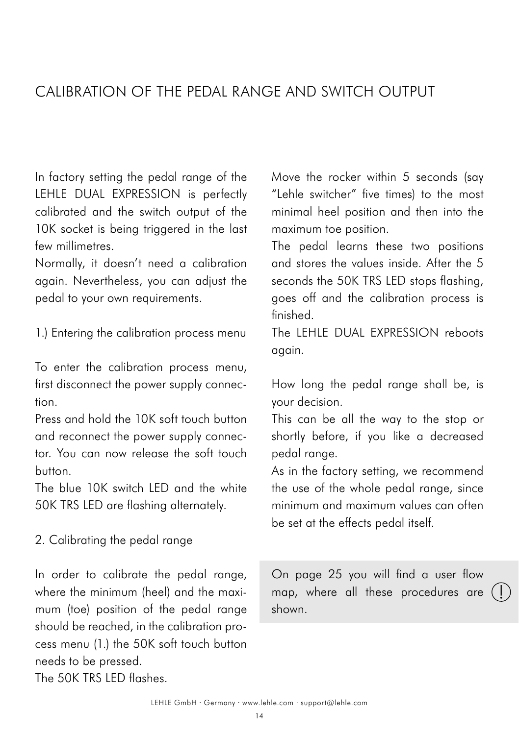## <span id="page-13-0"></span>CALIBRATION OF THE PEDAL RANGE AND SWITCH OUTPUT

In factory setting the pedal range of the LEHLE DUAL EXPRESSION is perfectly calibrated and the switch output of the 10K socket is being triggered in the last few millimetres.

Normally, it doesn't need a calibration again. Nevertheless, you can adjust the pedal to your own requirements.

1.) Entering the calibration process menu

To enter the calibration process menu, first disconnect the power supply connection.

Press and hold the 10K soft touch button and reconnect the power supply connector. You can now release the soft touch button.

The blue 10K switch LED and the white 50K TRS LED are flashing alternately.

2. Calibrating the pedal range

In order to calibrate the pedal range, where the minimum (heel) and the maximum (toe) position of the pedal range should be reached, in the calibration process menu (1.) the 50K soft touch button needs to be pressed.

The 50K TRS LED flashes.

Move the rocker within 5 seconds (say "Lehle switcher" five times) to the most minimal heel position and then into the maximum toe position.

The pedal learns these two positions and stores the values inside. After the 5 seconds the 50K TRS LED stops flashing, goes off and the calibration process is finished.

The LEHLE DUAL EXPRESSION reboots again.

How long the pedal range shall be, is your decision.

This can be all the way to the stop or shortly before, if you like a decreased pedal range.

As in the factory setting, we recommend the use of the whole pedal range, since minimum and maximum values can often be set at the effects pedal itself.

map, where all these procedures are  $($ On page 25 you will find a user flow shown.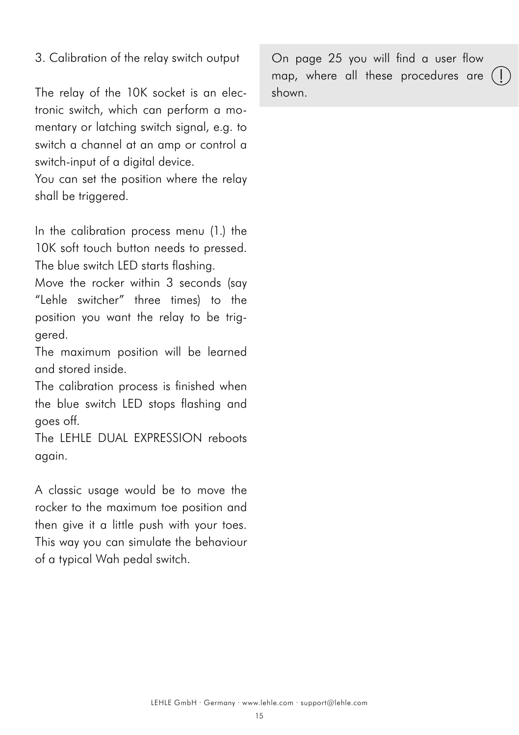#### 3. Calibration of the relay switch output

The relay of the 10K socket is an electronic switch, which can perform a momentary or latching switch signal, e.g. to switch a channel at an amp or control a switch-input of a digital device.

You can set the position where the relay shall be triggered.

In the calibration process menu (1.) the 10K soft touch button needs to pressed. The blue switch LED starts flashing.

Move the rocker within 3 seconds (say "Lehle switcher" three times) to the position you want the relay to be triggered.

The maximum position will be learned and stored inside.

The calibration process is finished when the blue switch LED stops flashing and goes off.

The LEHLE DUAL EXPRESSION reboots again.

A classic usage would be to move the rocker to the maximum toe position and then give it a little push with your toes. This way you can simulate the behaviour of a typical Wah pedal switch.

On page 25 you will find a user flow map, where all these procedures are shown.

!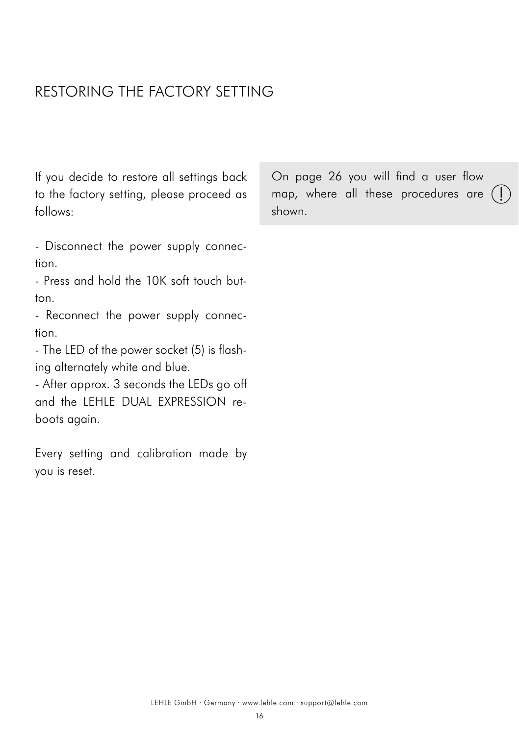## RESTORING THE FACTORY SETTING

If you decide to restore all settings back to the factory setting, please proceed as follows:

- Disconnect the power supply connection.

- Press and hold the 10K soft touch button.

- Reconnect the power supply connection.

- The LED of the power socket (5) is flashing alternately white and blue.

- After approx. 3 seconds the LEDs go off and the LEHLE DUAL EXPRESSION reboots again.

Every setting and calibration made by you is reset.

map, where all these procedures are  $($ On page 26 you will find a user flow shown.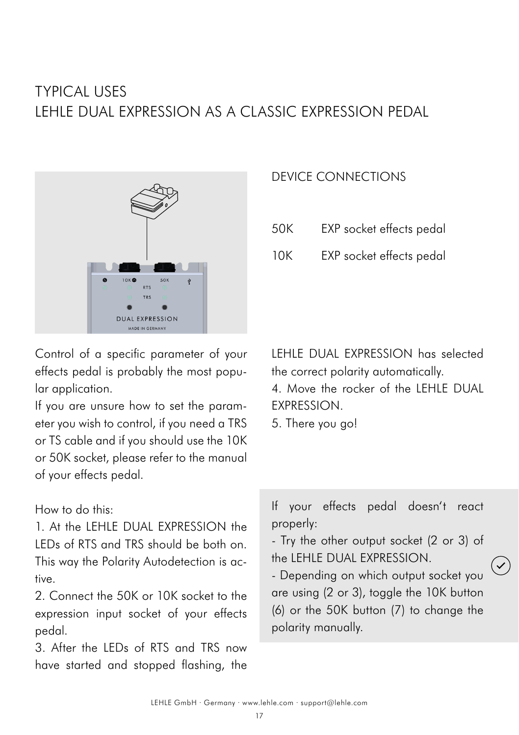# TYPICAL USES LEHLE DUAL EXPRESSION AS A CLASSIC EXPRESSION PEDAL



DEVICE CONNECTIONS

- 50K EXP socket effects pedal
- 10K EXP socket effects pedal

Control of a specific parameter of your effects pedal is probably the most popular application.

If you are unsure how to set the parameter you wish to control, if you need a TRS or TS cable and if you should use the 10K or 50K socket, please refer to the manual of your effects pedal.

### How to do this:

1. At the LEHLE DUAL EXPRESSION the LEDs of RTS and TRS should be both on. This way the Polarity Autodetection is active.

2. Connect the 50K or 10K socket to the expression input socket of your effects pedal.

3. After the LEDs of RTS and TRS now have started and stopped flashing, the LEHLE DUAL EXPRESSION has selected the correct polarity automatically. 4. Move the rocker of the LEHLE DUAL EXPRESSION.

5. There you go!

If your effects pedal doesn't react properly:

- Try the other output socket (2 or 3) of the LEHLE DUAL EXPRESSION.

- Depending on which output socket you are using (2 or 3), toggle the 10K button (6) or the 50K button (7) to change the polarity manually.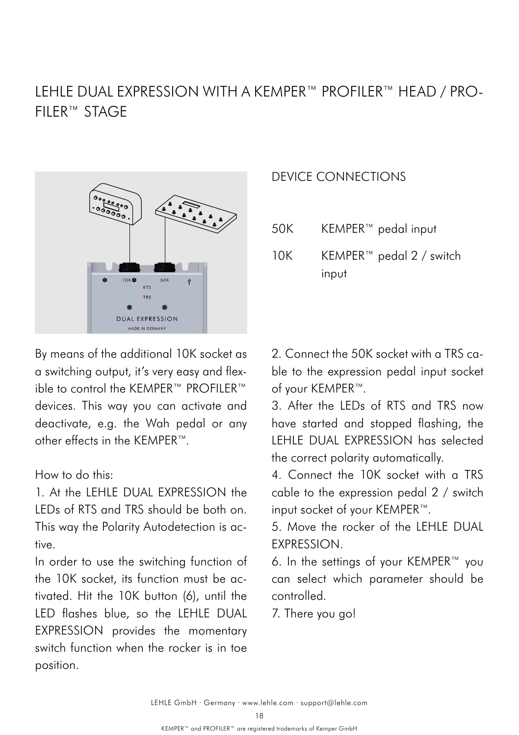## LEHLE DUAL EXPRESSION WITH A KEMPER™ PROFILER™ HEAD / PRO-FILER™ STAGE



By means of the additional 10K socket as a switching output, it's very easy and flexible to control the KEMPER™ PROFILER™ devices. This way you can activate and deactivate, e.g. the Wah pedal or any other effects in the KEMPER™.

#### How to do this:

1. At the LEHLE DUAL EXPRESSION the LEDs of RTS and TRS should be both on. This way the Polarity Autodetection is active.

In order to use the switching function of the 10K socket, its function must be activated. Hit the 10K button (6), until the LED flashes blue, so the LEHLE DUAL EXPRESSION provides the momentary switch function when the rocker is in toe position.

### DEVICE CONNECTIONS

- 50K KEMPER™ pedal input
- KEMPER™ pedal 2 / switch input  $10K$

2. Connect the 50K socket with a TRS cable to the expression pedal input socket of your KEMPER™.

3. After the LEDs of RTS and TRS now have started and stopped flashing, the LEHLE DUAL EXPRESSION has selected the correct polarity automatically.

4. Connect the 10K socket with a TRS cable to the expression pedal 2 / switch input socket of your KEMPER™.

5. Move the rocker of the LEHLE DUAL **EXPRESSION** 

6. In the settings of your KEMPER™ you can select which parameter should be controlled.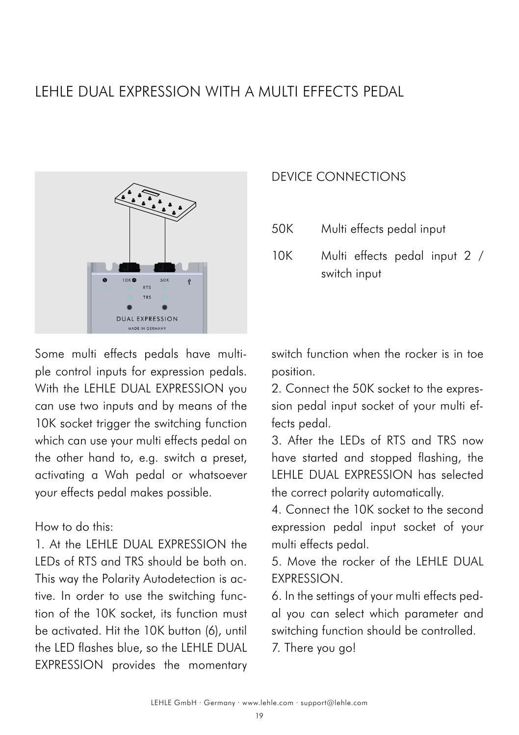## LEHLE DUAL EXPRESSION WITH A MULTI EFFECTS PEDAL



Some multi effects pedals have multiple control inputs for expression pedals. With the LEHLE DUAL EXPRESSION you can use two inputs and by means of the 10K socket trigger the switching function which can use your multi effects pedal on the other hand to, e.g. switch a preset, activating a Wah pedal or whatsoever your effects pedal makes possible.

How to do this:

1. At the LEHLE DUAL EXPRESSION the LEDs of RTS and TRS should be both on. This way the Polarity Autodetection is active. In order to use the switching function of the 10K socket, its function must be activated. Hit the 10K button (6), until the LED flashes blue, so the LEHLE DUAL EXPRESSION provides the momentary

### DEVICE CONNECTIONS

- 50K Multi effects pedal input
- Multi effects pedal input 2 / switch input  $10K$

switch function when the rocker is in toe position.

2. Connect the 50K socket to the expression pedal input socket of your multi effects pedal.

3. After the LEDs of RTS and TRS now have started and stopped flashing, the LEHLE DUAL EXPRESSION has selected the correct polarity automatically.

4. Connect the 10K socket to the second expression pedal input socket of your multi effects pedal.

5. Move the rocker of the LEHLE DUAL EXPRESSION.

6. In the settings of your multi effects pedal you can select which parameter and switching function should be controlled.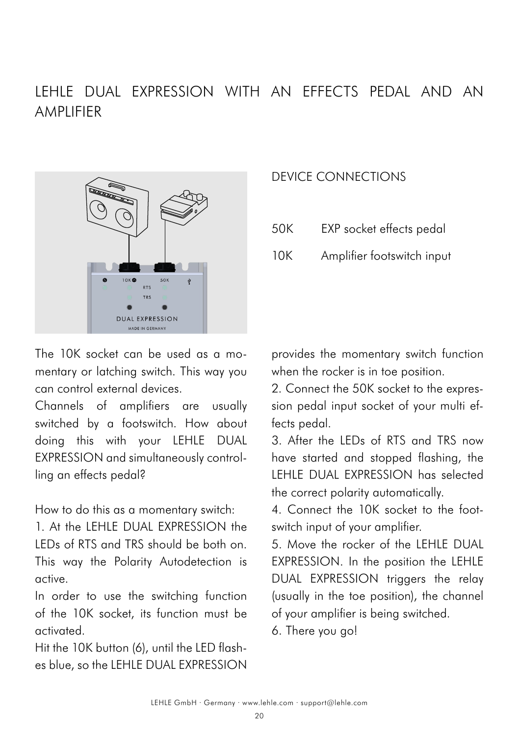## LEHLE DUAL EXPRESSION WITH AN EFFECTS PEDAL AND AN AMPLIFIER



The 10K socket can be used as a momentary or latching switch. This way you can control external devices.

Channels of amplifiers are usually switched by a footswitch. How about doing this with your LEHLE DUAL EXPRESSION and simultaneously controlling an effects pedal?

How to do this as a momentary switch:

1. At the LEHLE DUAL EXPRESSION the LEDs of RTS and TRS should be both on. This way the Polarity Autodetection is active.

In order to use the switching function of the 10K socket, its function must be activated.

Hit the 10K button (6), until the LED flashes blue, so the LEHLE DUAL EXPRESSION

### DEVICE CONNECTIONS

- 50K EXP socket effects pedal
- 10K Amplifier footswitch input

provides the momentary switch function when the rocker is in toe position.

2. Connect the 50K socket to the expression pedal input socket of your multi effects pedal.

3. After the LEDs of RTS and TRS now have started and stopped flashing, the LEHLE DUAL EXPRESSION has selected the correct polarity automatically.

4. Connect the 10K socket to the footswitch input of your amplifier.

5. Move the rocker of the LEHLE DUAL EXPRESSION. In the position the LEHLE DUAL EXPRESSION triggers the relay (usually in the toe position), the channel of your amplifier is being switched.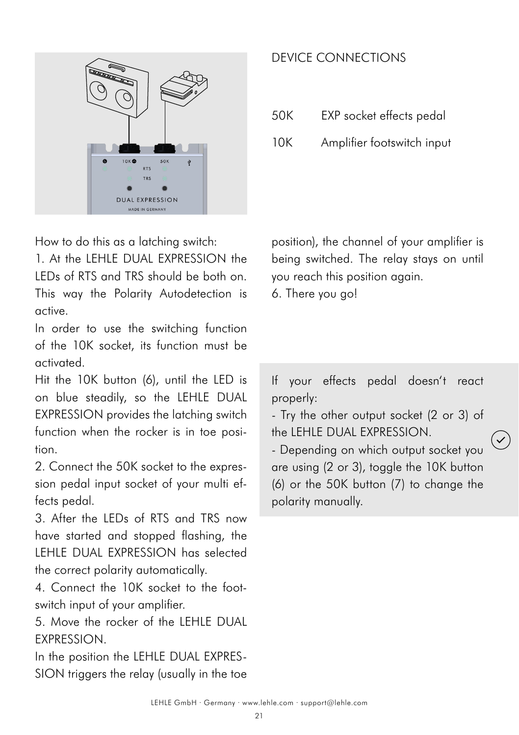

How to do this as a latching switch:

1. At the LEHLE DUAL EXPRESSION the LEDs of RTS and TRS should be both on. This way the Polarity Autodetection is active.

In order to use the switching function of the 10K socket, its function must be activated.

Hit the 10K button (6), until the LED is on blue steadily, so the LEHLE DUAL EXPRESSION provides the latching switch function when the rocker is in toe position.

2. Connect the 50K socket to the expression pedal input socket of your multi effects pedal.

3. After the LEDs of RTS and TRS now have started and stopped flashing, the LEHLE DUAL EXPRESSION has selected the correct polarity automatically.

4. Connect the 10K socket to the footswitch input of your amplifier.

5. Move the rocker of the LEHLE DUAL **EXPRESSION.** 

In the position the LEHLE DUAL EXPRES-SION triggers the relay (usually in the toe

## DEVICE CONNECTIONS

50K EXP socket effects pedal

10K Amplifier footswitch input

position), the channel of your amplifier is being switched. The relay stays on until you reach this position again.

6. There you go!

If your effects pedal doesn't react properly:

- Try the other output socket (2 or 3) of the LEHLE DUAL EXPRESSION.

- Depending on which output socket you are using (2 or 3), toggle the 10K button (6) or the 50K button (7) to change the polarity manually.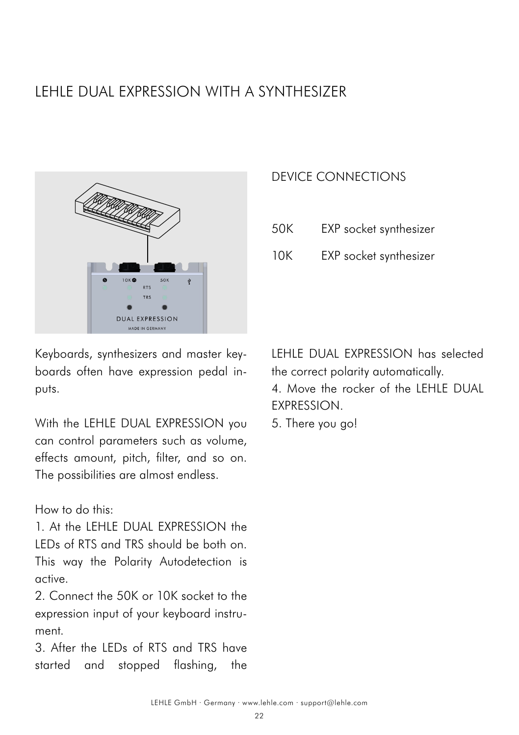# LEHLE DUAL EXPRESSION WITH A SYNTHESIZER



Keyboards, synthesizers and master keyboards often have expression pedal inputs.

With the LEHLE DUAL EXPRESSION you can control parameters such as volume, effects amount, pitch, filter, and so on. The possibilities are almost endless.

How to do this:

1 At the IFHIE DUAL EXPRESSION the LEDs of RTS and TRS should be both on. This way the Polarity Autodetection is active.

2. Connect the 50K or 10K socket to the expression input of your keyboard instrument.

3. After the LEDs of RTS and TRS have started and stopped flashing, the

### DEVICE CONNECTIONS

- 50K EXP socket synthesizer
- 10K EXP socket synthesizer

LEHLE DUAL EXPRESSION has selected the correct polarity automatically. 4. Move the rocker of the LEHLE DUAL EXPRESSION.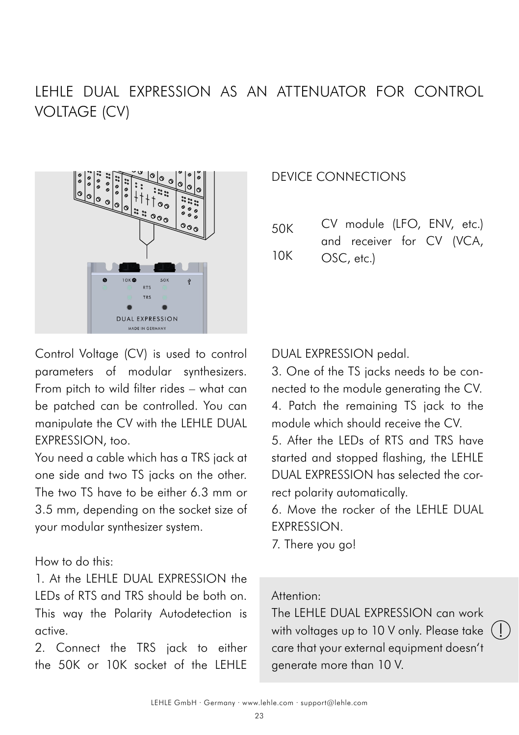# LEHLE DUAL EXPRESSION AS AN ATTENUATOR FOR CONTROL VOLTAGE (CV)



Control Voltage (CV) is used to control parameters of modular synthesizers. From pitch to wild filter rides – what can be patched can be controlled. You can manipulate the CV with the LEHLE DUAL EXPRESSION, too.

You need a cable which has a TRS jack at one side and two TS jacks on the other. The two TS have to be either 6.3 mm or 3.5 mm, depending on the socket size of your modular synthesizer system.

#### How to do this:

1. At the LEHLE DUAL EXPRESSION the LEDs of RTS and TRS should be both on. This way the Polarity Autodetection is active.

2. Connect the TRS jack to either the 50K or 10K socket of the LEHLE

### DEVICE CONNECTIONS

| 50K | CV module (LFO, ENV, etc.) |  |  |
|-----|----------------------------|--|--|
|     | and receiver for CV (VCA,  |  |  |
| 10K | OSC, etc.)                 |  |  |

#### DUAL EXPRESSION pedal.

3. One of the TS jacks needs to be connected to the module generating the CV. 4. Patch the remaining TS jack to the module which should receive the CV.

5. After the LEDs of RTS and TRS have started and stopped flashing, the LEHLE DUAL EXPRESSION has selected the correct polarity automatically.

6. Move the rocker of the LEHLE DUAL EXPRESSION.

7. There you go!

### Attention:

The LEHLE DUAL EXPRESSION can work with voltages up to 10 V only. Please take  $($   $\vdots$ care that your external equipment doesn't generate more than 10 V.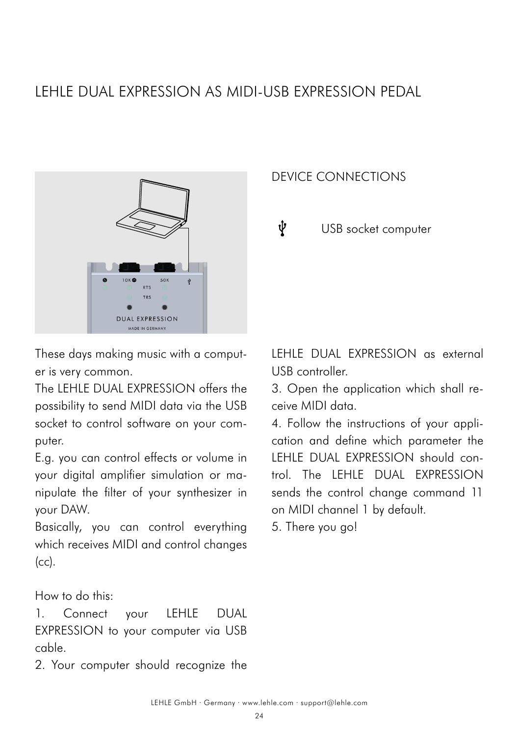## <span id="page-23-0"></span>LEHLE DUAL EXPRESSION AS MIDI-USB EXPRESSION PEDAL



These days making music with a computer is very common.

The LEHLE DUAL EXPRESSION offers the possibility to send MIDI data via the USB socket to control software on your computer.

E.g. you can control effects or volume in your digital amplifier simulation or manipulate the filter of your synthesizer in your DAW.

Basically, you can control everything which receives MIDI and control changes  $(cc)$ .

How to do this:

1. Connect your LEHLE DUAL EXPRESSION to your computer via USB cable.

2. Your computer should recognize the

### DEVICE CONNECTIONS

ψ USB socket computer

LEHLE DUAL EXPRESSION as external USB controller.

3. Open the application which shall receive MIDI data.

4. Follow the instructions of your application and define which parameter the LEHLE DUAL EXPRESSION should control. The LEHLE DUAL EXPRESSION sends the control change command 11 on MIDI channel 1 by default.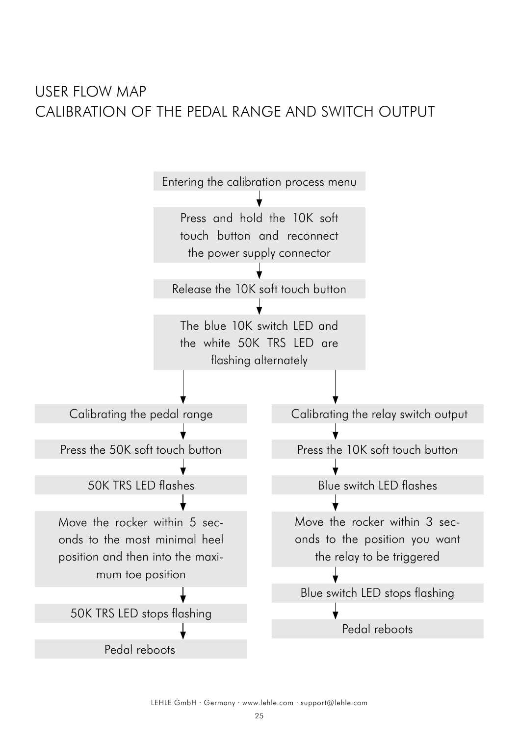## USER FLOW MAP CALIBRATION OF THE PEDAL RANGE AND SWITCH OUTPUT

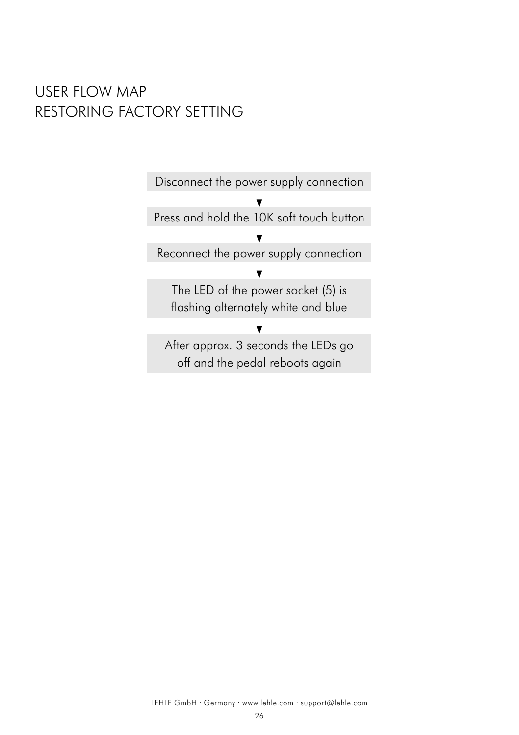## USER FLOW MAP RESTORING FACTORY SETTING

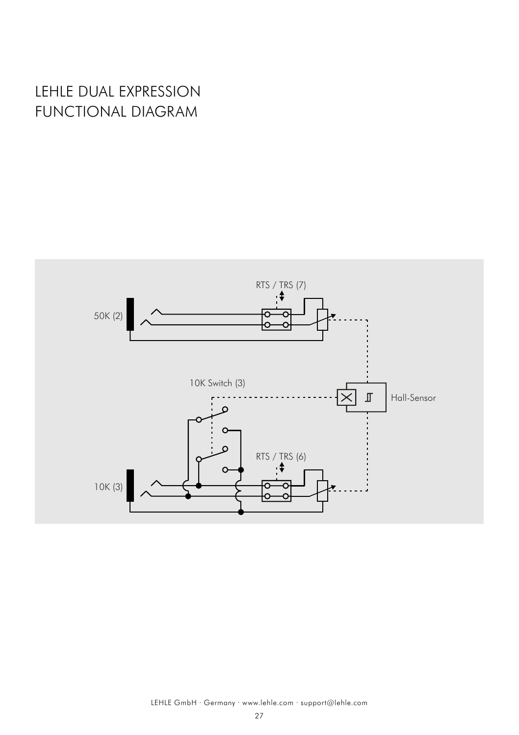# LEHLE DUAL EXPRESSION FUNCTIONAL DIAGRAM